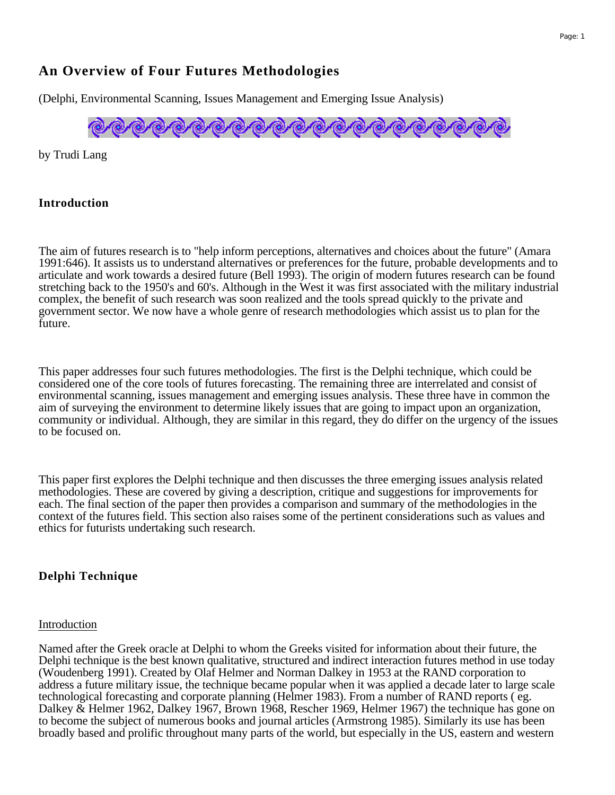#### Page: 1

# **An Overview of Four Futures Methodologies**

(Delphi, Environmental Scanning, Issues Management and Emerging Issue Analysis)



by Trudi Lang

#### **Introduction**

The aim of futures research is to "help inform perceptions, alternatives and choices about the future" (Amara 1991:646). It assists us to understand alternatives or preferences for the future, probable developments and to articulate and work towards a desired future (Bell 1993). The origin of modern futures research can be found stretching back to the 1950's and 60's. Although in the West it was first associated with the military industrial complex, the benefit of such research was soon realized and the tools spread quickly to the private and government sector. We now have a whole genre of research methodologies which assist us to plan for the future.

This paper addresses four such futures methodologies. The first is the Delphi technique, which could be considered one of the core tools of futures forecasting. The remaining three are interrelated and consist of environmental scanning, issues management and emerging issues analysis. These three have in common the aim of surveying the environment to determine likely issues that are going to impact upon an organization, community or individual. Although, they are similar in this regard, they do differ on the urgency of the issues to be focused on.

This paper first explores the Delphi technique and then discusses the three emerging issues analysis related methodologies. These are covered by giving a description, critique and suggestions for improvements for each. The final section of the paper then provides a comparison and summary of the methodologies in the context of the futures field. This section also raises some of the pertinent considerations such as values and ethics for futurists undertaking such research.

#### **Delphi Technique**

#### Introduction

Named after the Greek oracle at Delphi to whom the Greeks visited for information about their future, the Delphi technique is the best known qualitative, structured and indirect interaction futures method in use today (Woudenberg 1991). Created by Olaf Helmer and Norman Dalkey in 1953 at the RAND corporation to address a future military issue, the technique became popular when it was applied a decade later to large scale technological forecasting and corporate planning (Helmer 1983). From a number of RAND reports ( eg. Dalkey & Helmer 1962, Dalkey 1967, Brown 1968, Rescher 1969, Helmer 1967) the technique has gone on to become the subject of numerous books and journal articles (Armstrong 1985). Similarly its use has been broadly based and prolific throughout many parts of the world, but especially in the US, eastern and western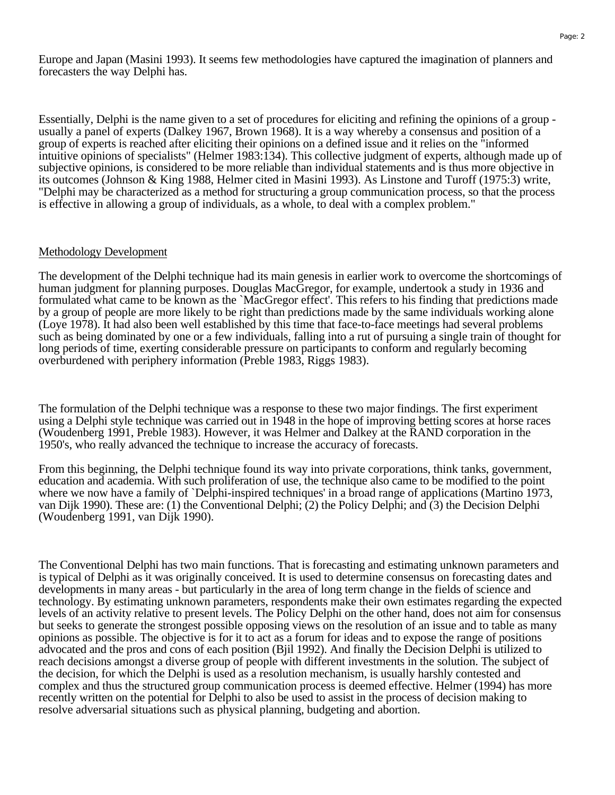Europe and Japan (Masini 1993). It seems few methodologies have captured the imagination of planners and forecasters the way Delphi has.

Essentially, Delphi is the name given to a set of procedures for eliciting and refining the opinions of a group usually a panel of experts (Dalkey 1967, Brown 1968). It is a way whereby a consensus and position of a group of experts is reached after eliciting their opinions on a defined issue and it relies on the "informed intuitive opinions of specialists" (Helmer 1983:134). This collective judgment of experts, although made up of subjective opinions, is considered to be more reliable than individual statements and is thus more objective in its outcomes (Johnson & King 1988, Helmer cited in Masini 1993). As Linstone and Turoff (1975:3) write, "Delphi may be characterized as a method for structuring a group communication process, so that the process is effective in allowing a group of individuals, as a whole, to deal with a complex problem."

#### Methodology Development

The development of the Delphi technique had its main genesis in earlier work to overcome the shortcomings of human judgment for planning purposes. Douglas MacGregor, for example, undertook a study in 1936 and formulated what came to be known as the `MacGregor effect'. This refers to his finding that predictions made by a group of people are more likely to be right than predictions made by the same individuals working alone (Loye 1978). It had also been well established by this time that face-to-face meetings had several problems such as being dominated by one or a few individuals, falling into a rut of pursuing a single train of thought for long periods of time, exerting considerable pressure on participants to conform and regularly becoming overburdened with periphery information (Preble 1983, Riggs 1983).

The formulation of the Delphi technique was a response to these two major findings. The first experiment using a Delphi style technique was carried out in 1948 in the hope of improving betting scores at horse races (Woudenberg 1991, Preble 1983). However, it was Helmer and Dalkey at the RAND corporation in the 1950's, who really advanced the technique to increase the accuracy of forecasts.

From this beginning, the Delphi technique found its way into private corporations, think tanks, government, education and academia. With such proliferation of use, the technique also came to be modified to the point where we now have a family of `Delphi-inspired techniques' in a broad range of applications (Martino 1973, van Dijk 1990). These are: (1) the Conventional Delphi; (2) the Policy Delphi; and (3) the Decision Delphi (Woudenberg 1991, van Dijk 1990).

The Conventional Delphi has two main functions. That is forecasting and estimating unknown parameters and is typical of Delphi as it was originally conceived. It is used to determine consensus on forecasting dates and developments in many areas - but particularly in the area of long term change in the fields of science and technology. By estimating unknown parameters, respondents make their own estimates regarding the expected levels of an activity relative to present levels. The Policy Delphi on the other hand, does not aim for consensus but seeks to generate the strongest possible opposing views on the resolution of an issue and to table as many opinions as possible. The objective is for it to act as a forum for ideas and to expose the range of positions advocated and the pros and cons of each position (Bjil 1992). And finally the Decision Delphi is utilized to reach decisions amongst a diverse group of people with different investments in the solution. The subject of the decision, for which the Delphi is used as a resolution mechanism, is usually harshly contested and complex and thus the structured group communication process is deemed effective. Helmer (1994) has more recently written on the potential for Delphi to also be used to assist in the process of decision making to resolve adversarial situations such as physical planning, budgeting and abortion.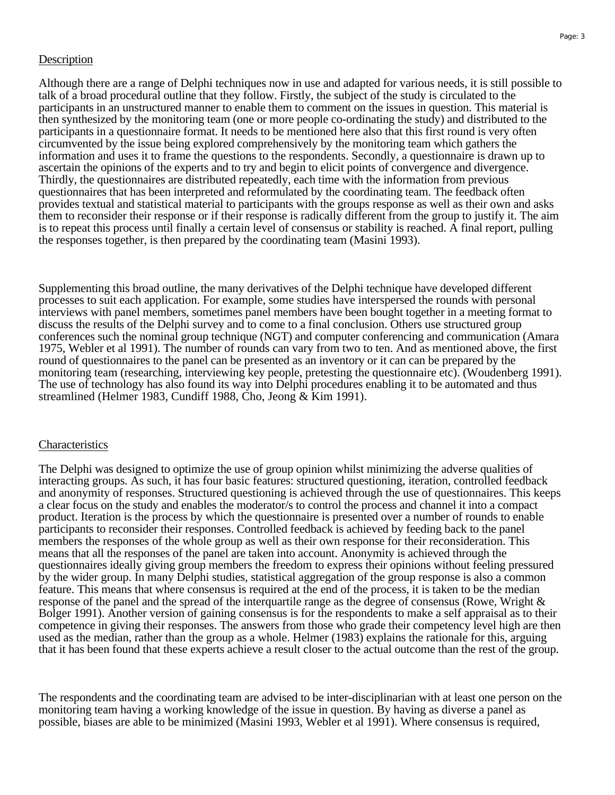#### **Description**

Although there are a range of Delphi techniques now in use and adapted for various needs, it is still possible to talk of a broad procedural outline that they follow. Firstly, the subject of the study is circulated to the participants in an unstructured manner to enable them to comment on the issues in question. This material is then synthesized by the monitoring team (one or more people co-ordinating the study) and distributed to the participants in a questionnaire format. It needs to be mentioned here also that this first round is very often circumvented by the issue being explored comprehensively by the monitoring team which gathers the information and uses it to frame the questions to the respondents. Secondly, a questionnaire is drawn up to ascertain the opinions of the experts and to try and begin to elicit points of convergence and divergence. Thirdly, the questionnaires are distributed repeatedly, each time with the information from previous questionnaires that has been interpreted and reformulated by the coordinating team. The feedback often provides textual and statistical material to participants with the groups response as well as their own and asks them to reconsider their response or if their response is radically different from the group to justify it. The aim is to repeat this process until finally a certain level of consensus or stability is reached. A final report, pulling the responses together, is then prepared by the coordinating team (Masini 1993).

Supplementing this broad outline, the many derivatives of the Delphi technique have developed different processes to suit each application. For example, some studies have interspersed the rounds with personal interviews with panel members, sometimes panel members have been bought together in a meeting format to discuss the results of the Delphi survey and to come to a final conclusion. Others use structured group conferences such the nominal group technique (NGT) and computer conferencing and communication (Amara 1975, Webler et al 1991). The number of rounds can vary from two to ten. And as mentioned above, the first round of questionnaires to the panel can be presented as an inventory or it can can be prepared by the monitoring team (researching, interviewing key people, pretesting the questionnaire etc). (Woudenberg 1991). The use of technology has also found its way into Delphi procedures enabling it to be automated and thus streamlined (Helmer 1983, Cundiff 1988, Cho, Jeong & Kim 1991).

#### **Characteristics**

The Delphi was designed to optimize the use of group opinion whilst minimizing the adverse qualities of interacting groups. As such, it has four basic features: structured questioning, iteration, controlled feedback and anonymity of responses. Structured questioning is achieved through the use of questionnaires. This keeps a clear focus on the study and enables the moderator/s to control the process and channel it into a compact product. Iteration is the process by which the questionnaire is presented over a number of rounds to enable participants to reconsider their responses. Controlled feedback is achieved by feeding back to the panel members the responses of the whole group as well as their own response for their reconsideration. This means that all the responses of the panel are taken into account. Anonymity is achieved through the questionnaires ideally giving group members the freedom to express their opinions without feeling pressured by the wider group. In many Delphi studies, statistical aggregation of the group response is also a common feature. This means that where consensus is required at the end of the process, it is taken to be the median response of the panel and the spread of the interquartile range as the degree of consensus (Rowe, Wright & Bolger 1991). Another version of gaining consensus is for the respondents to make a self appraisal as to their competence in giving their responses. The answers from those who grade their competency level high are then used as the median, rather than the group as a whole. Helmer (1983) explains the rationale for this, arguing that it has been found that these experts achieve a result closer to the actual outcome than the rest of the group.

The respondents and the coordinating team are advised to be inter-disciplinarian with at least one person on the monitoring team having a working knowledge of the issue in question. By having as diverse a panel as possible, biases are able to be minimized (Masini 1993, Webler et al 1991). Where consensus is required,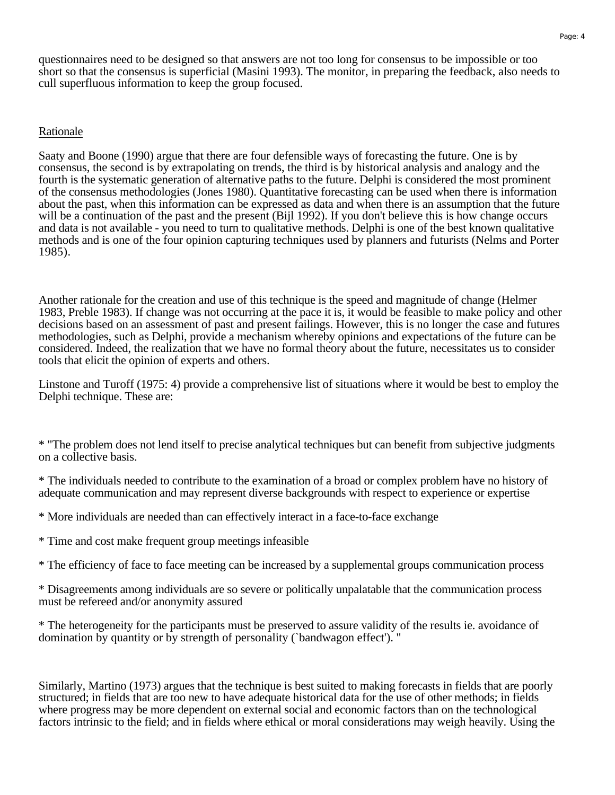questionnaires need to be designed so that answers are not too long for consensus to be impossible or too short so that the consensus is superficial (Masini 1993). The monitor, in preparing the feedback, also needs to cull superfluous information to keep the group focused.

#### Rationale

Saaty and Boone (1990) argue that there are four defensible ways of forecasting the future. One is by consensus, the second is by extrapolating on trends, the third is by historical analysis and analogy and the fourth is the systematic generation of alternative paths to the future. Delphi is considered the most prominent of the consensus methodologies (Jones 1980). Quantitative forecasting can be used when there is information about the past, when this information can be expressed as data and when there is an assumption that the future will be a continuation of the past and the present (Bijl 1992). If you don't believe this is how change occurs and data is not available - you need to turn to qualitative methods. Delphi is one of the best known qualitative methods and is one of the four opinion capturing techniques used by planners and futurists (Nelms and Porter 1985).

Another rationale for the creation and use of this technique is the speed and magnitude of change (Helmer 1983, Preble 1983). If change was not occurring at the pace it is, it would be feasible to make policy and other decisions based on an assessment of past and present failings. However, this is no longer the case and futures methodologies, such as Delphi, provide a mechanism whereby opinions and expectations of the future can be considered. Indeed, the realization that we have no formal theory about the future, necessitates us to consider tools that elicit the opinion of experts and others.

Linstone and Turoff (1975: 4) provide a comprehensive list of situations where it would be best to employ the Delphi technique. These are:

\* "The problem does not lend itself to precise analytical techniques but can benefit from subjective judgments on a collective basis.

\* The individuals needed to contribute to the examination of a broad or complex problem have no history of adequate communication and may represent diverse backgrounds with respect to experience or expertise

\* More individuals are needed than can effectively interact in a face-to-face exchange

\* Time and cost make frequent group meetings infeasible

\* The efficiency of face to face meeting can be increased by a supplemental groups communication process

\* Disagreements among individuals are so severe or politically unpalatable that the communication process must be refereed and/or anonymity assured

\* The heterogeneity for the participants must be preserved to assure validity of the results ie. avoidance of domination by quantity or by strength of personality (`bandwagon effect'). "

Similarly, Martino (1973) argues that the technique is best suited to making forecasts in fields that are poorly structured; in fields that are too new to have adequate historical data for the use of other methods; in fields where progress may be more dependent on external social and economic factors than on the technological factors intrinsic to the field; and in fields where ethical or moral considerations may weigh heavily. Using the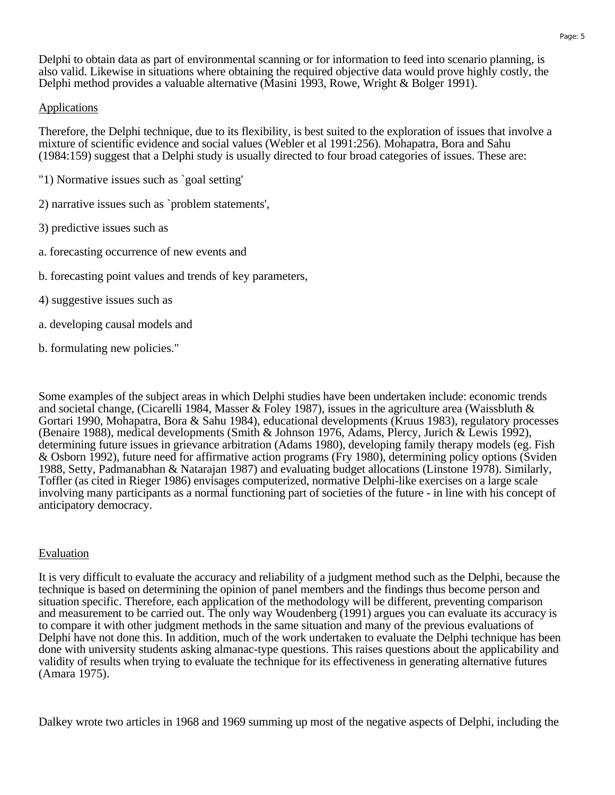Delphi to obtain data as part of environmental scanning or for information to feed into scenario planning, is also valid. Likewise in situations where obtaining the required objective data would prove highly costly, the Delphi method provides a valuable alternative (Masini 1993, Rowe, Wright & Bolger 1991).

#### Applications

Therefore, the Delphi technique, due to its flexibility, is best suited to the exploration of issues that involve a mixture of scientific evidence and social values (Webler et al 1991:256). Mohapatra, Bora and Sahu (1984:159) suggest that a Delphi study is usually directed to four broad categories of issues. These are:

- "1) Normative issues such as `goal setting'
- 2) narrative issues such as `problem statements',
- 3) predictive issues such as
- a. forecasting occurrence of new events and
- b. forecasting point values and trends of key parameters,
- 4) suggestive issues such as
- a. developing causal models and
- b. formulating new policies."

Some examples of the subject areas in which Delphi studies have been undertaken include: economic trends and societal change, (Cicarelli 1984, Masser & Foley 1987), issues in the agriculture area (Waissbluth & Gortari 1990, Mohapatra, Bora & Sahu 1984), educational developments (Kruus 1983), regulatory processes (Benaire 1988), medical developments (Smith & Johnson 1976, Adams, Plercy, Jurich & Lewis 1992), determining future issues in grievance arbitration (Adams 1980), developing family therapy models (eg. Fish & Osborn 1992), future need for affirmative action programs (Fry 1980), determining policy options (Sviden 1988, Setty, Padmanabhan & Natarajan 1987) and evaluating budget allocations (Linstone 1978). Similarly, Toffler (as cited in Rieger 1986) envisages computerized, normative Delphi-like exercises on a large scale involving many participants as a normal functioning part of societies of the future - in line with his concept of anticipatory democracy.

#### Evaluation

It is very difficult to evaluate the accuracy and reliability of a judgment method such as the Delphi, because the technique is based on determining the opinion of panel members and the findings thus become person and situation specific. Therefore, each application of the methodology will be different, preventing comparison and measurement to be carried out. The only way Woudenberg (1991) argues you can evaluate its accuracy is to compare it with other judgment methods in the same situation and many of the previous evaluations of Delphi have not done this. In addition, much of the work undertaken to evaluate the Delphi technique has been done with university students asking almanac-type questions. This raises questions about the applicability and validity of results when trying to evaluate the technique for its effectiveness in generating alternative futures (Amara 1975).

Dalkey wrote two articles in 1968 and 1969 summing up most of the negative aspects of Delphi, including the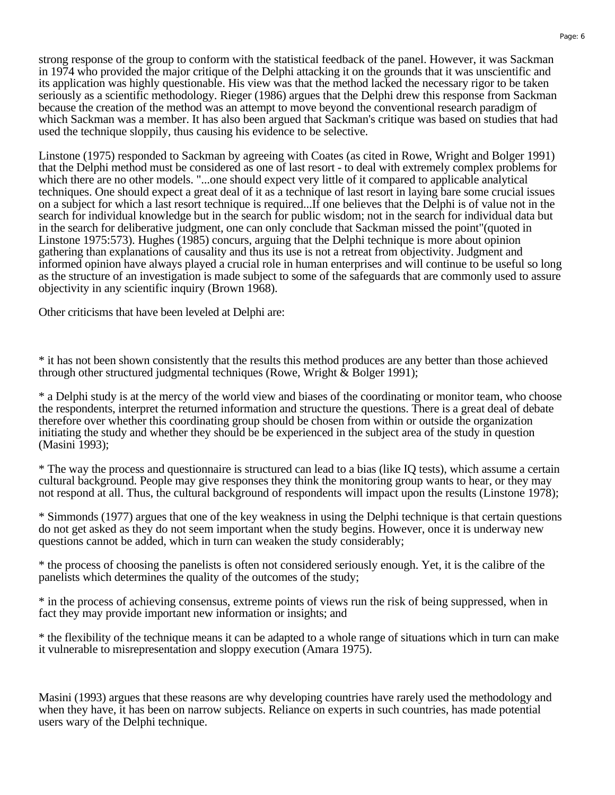strong response of the group to conform with the statistical feedback of the panel. However, it was Sackman in 1974 who provided the major critique of the Delphi attacking it on the grounds that it was unscientific and its application was highly questionable. His view was that the method lacked the necessary rigor to be taken seriously as a scientific methodology. Rieger (1986) argues that the Delphi drew this response from Sackman because the creation of the method was an attempt to move beyond the conventional research paradigm of which Sackman was a member. It has also been argued that Sackman's critique was based on studies that had used the technique sloppily, thus causing his evidence to be selective.

Linstone (1975) responded to Sackman by agreeing with Coates (as cited in Rowe, Wright and Bolger 1991) that the Delphi method must be considered as one of last resort - to deal with extremely complex problems for which there are no other models. "...one should expect very little of it compared to applicable analytical techniques. One should expect a great deal of it as a technique of last resort in laying bare some crucial issues on a subject for which a last resort technique is required...If one believes that the Delphi is of value not in the search for individual knowledge but in the search for public wisdom; not in the search for individual data but in the search for deliberative judgment, one can only conclude that Sackman missed the point"(quoted in Linstone 1975:573). Hughes (1985) concurs, arguing that the Delphi technique is more about opinion gathering than explanations of causality and thus its use is not a retreat from objectivity. Judgment and informed opinion have always played a crucial role in human enterprises and will continue to be useful so long as the structure of an investigation is made subject to some of the safeguards that are commonly used to assure objectivity in any scientific inquiry (Brown 1968).

Other criticisms that have been leveled at Delphi are:

\* it has not been shown consistently that the results this method produces are any better than those achieved through other structured judgmental techniques (Rowe, Wright & Bolger 1991);

\* a Delphi study is at the mercy of the world view and biases of the coordinating or monitor team, who choose the respondents, interpret the returned information and structure the questions. There is a great deal of debate therefore over whether this coordinating group should be chosen from within or outside the organization initiating the study and whether they should be be experienced in the subject area of the study in question (Masini 1993);

\* The way the process and questionnaire is structured can lead to a bias (like IQ tests), which assume a certain cultural background. People may give responses they think the monitoring group wants to hear, or they may not respond at all. Thus, the cultural background of respondents will impact upon the results (Linstone 1978);

\* Simmonds (1977) argues that one of the key weakness in using the Delphi technique is that certain questions do not get asked as they do not seem important when the study begins. However, once it is underway new questions cannot be added, which in turn can weaken the study considerably;

\* the process of choosing the panelists is often not considered seriously enough. Yet, it is the calibre of the panelists which determines the quality of the outcomes of the study;

\* in the process of achieving consensus, extreme points of views run the risk of being suppressed, when in fact they may provide important new information or insights; and

\* the flexibility of the technique means it can be adapted to a whole range of situations which in turn can make it vulnerable to misrepresentation and sloppy execution (Amara 1975).

Masini (1993) argues that these reasons are why developing countries have rarely used the methodology and when they have, it has been on narrow subjects. Reliance on experts in such countries, has made potential users wary of the Delphi technique.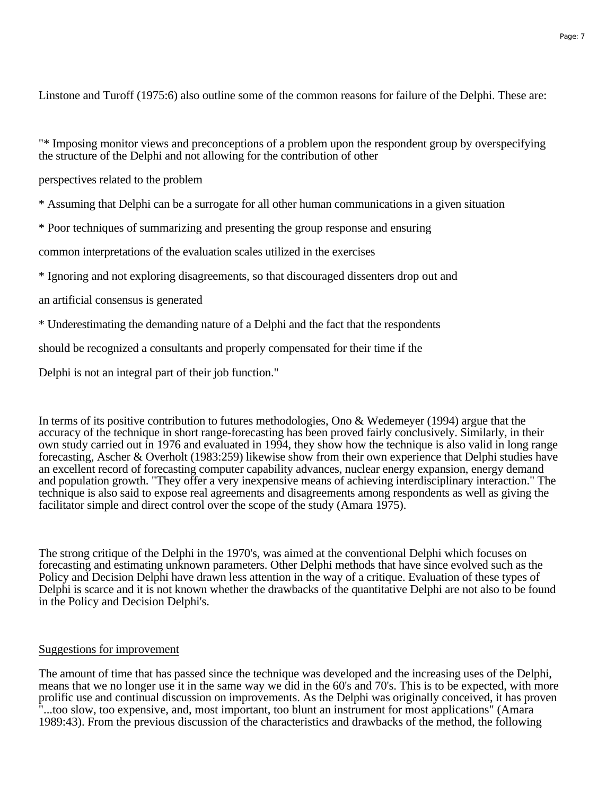"\* Imposing monitor views and preconceptions of a problem upon the respondent group by overspecifying the structure of the Delphi and not allowing for the contribution of other

perspectives related to the problem

\* Assuming that Delphi can be a surrogate for all other human communications in a given situation

\* Poor techniques of summarizing and presenting the group response and ensuring

common interpretations of the evaluation scales utilized in the exercises

\* Ignoring and not exploring disagreements, so that discouraged dissenters drop out and

an artificial consensus is generated

\* Underestimating the demanding nature of a Delphi and the fact that the respondents

should be recognized a consultants and properly compensated for their time if the

Delphi is not an integral part of their job function."

In terms of its positive contribution to futures methodologies, Ono & Wedemeyer (1994) argue that the accuracy of the technique in short range-forecasting has been proved fairly conclusively. Similarly, in their own study carried out in 1976 and evaluated in 1994, they show how the technique is also valid in long range forecasting, Ascher & Overholt (1983:259) likewise show from their own experience that Delphi studies have an excellent record of forecasting computer capability advances, nuclear energy expansion, energy demand and population growth. "They offer a very inexpensive means of achieving interdisciplinary interaction." The technique is also said to expose real agreements and disagreements among respondents as well as giving the facilitator simple and direct control over the scope of the study (Amara 1975).

The strong critique of the Delphi in the 1970's, was aimed at the conventional Delphi which focuses on forecasting and estimating unknown parameters. Other Delphi methods that have since evolved such as the Policy and Decision Delphi have drawn less attention in the way of a critique. Evaluation of these types of Delphi is scarce and it is not known whether the drawbacks of the quantitative Delphi are not also to be found in the Policy and Decision Delphi's.

#### Suggestions for improvement

The amount of time that has passed since the technique was developed and the increasing uses of the Delphi, means that we no longer use it in the same way we did in the 60's and 70's. This is to be expected, with more prolific use and continual discussion on improvements. As the Delphi was originally conceived, it has proven "...too slow, too expensive, and, most important, too blunt an instrument for most applications" (Amara 1989:43). From the previous discussion of the characteristics and drawbacks of the method, the following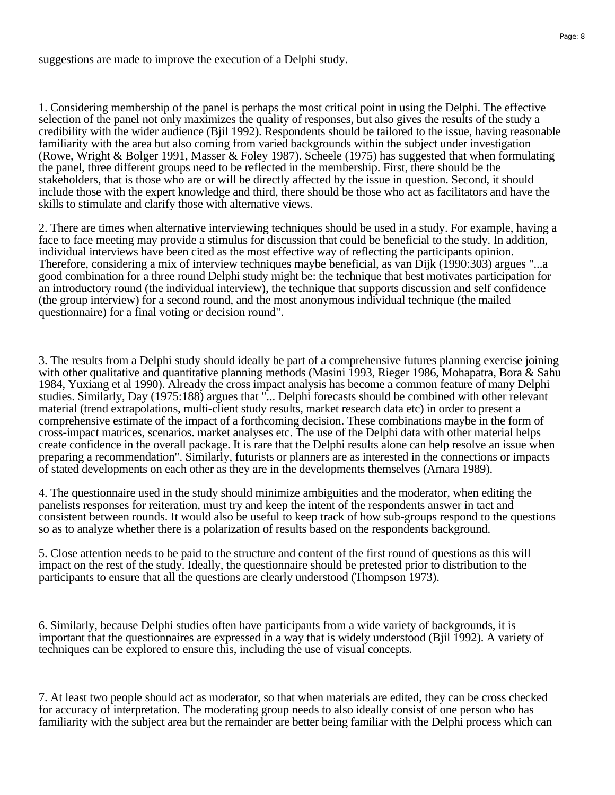suggestions are made to improve the execution of a Delphi study.

1. Considering membership of the panel is perhaps the most critical point in using the Delphi. The effective selection of the panel not only maximizes the quality of responses, but also gives the results of the study a credibility with the wider audience (Bjil 1992). Respondents should be tailored to the issue, having reasonable familiarity with the area but also coming from varied backgrounds within the subject under investigation (Rowe, Wright & Bolger 1991, Masser & Foley 1987). Scheele (1975) has suggested that when formulating the panel, three different groups need to be reflected in the membership. First, there should be the stakeholders, that is those who are or will be directly affected by the issue in question. Second, it should include those with the expert knowledge and third, there should be those who act as facilitators and have the skills to stimulate and clarify those with alternative views.

2. There are times when alternative interviewing techniques should be used in a study. For example, having a face to face meeting may provide a stimulus for discussion that could be beneficial to the study. In addition, individual interviews have been cited as the most effective way of reflecting the participants opinion. Therefore, considering a mix of interview techniques maybe beneficial, as van Dijk (1990:303) argues "...a good combination for a three round Delphi study might be: the technique that best motivates participation for an introductory round (the individual interview), the technique that supports discussion and self confidence (the group interview) for a second round, and the most anonymous individual technique (the mailed questionnaire) for a final voting or decision round".

3. The results from a Delphi study should ideally be part of a comprehensive futures planning exercise joining with other qualitative and quantitative planning methods (Masini 1993, Rieger 1986, Mohapatra, Bora & Sahu 1984, Yuxiang et al 1990). Already the cross impact analysis has become a common feature of many Delphi studies. Similarly, Day (1975:188) argues that "... Delphi forecasts should be combined with other relevant material (trend extrapolations, multi-client study results, market research data etc) in order to present a comprehensive estimate of the impact of a forthcoming decision. These combinations maybe in the form of cross-impact matrices, scenarios. market analyses etc. The use of the Delphi data with other material helps create confidence in the overall package. It is rare that the Delphi results alone can help resolve an issue when preparing a recommendation". Similarly, futurists or planners are as interested in the connections or impacts of stated developments on each other as they are in the developments themselves (Amara 1989).

4. The questionnaire used in the study should minimize ambiguities and the moderator, when editing the panelists responses for reiteration, must try and keep the intent of the respondents answer in tact and consistent between rounds. It would also be useful to keep track of how sub-groups respond to the questions so as to analyze whether there is a polarization of results based on the respondents background.

5. Close attention needs to be paid to the structure and content of the first round of questions as this will impact on the rest of the study. Ideally, the questionnaire should be pretested prior to distribution to the participants to ensure that all the questions are clearly understood (Thompson 1973).

6. Similarly, because Delphi studies often have participants from a wide variety of backgrounds, it is important that the questionnaires are expressed in a way that is widely understood (Bjil 1992). A variety of techniques can be explored to ensure this, including the use of visual concepts.

7. At least two people should act as moderator, so that when materials are edited, they can be cross checked for accuracy of interpretation. The moderating group needs to also ideally consist of one person who has familiarity with the subject area but the remainder are better being familiar with the Delphi process which can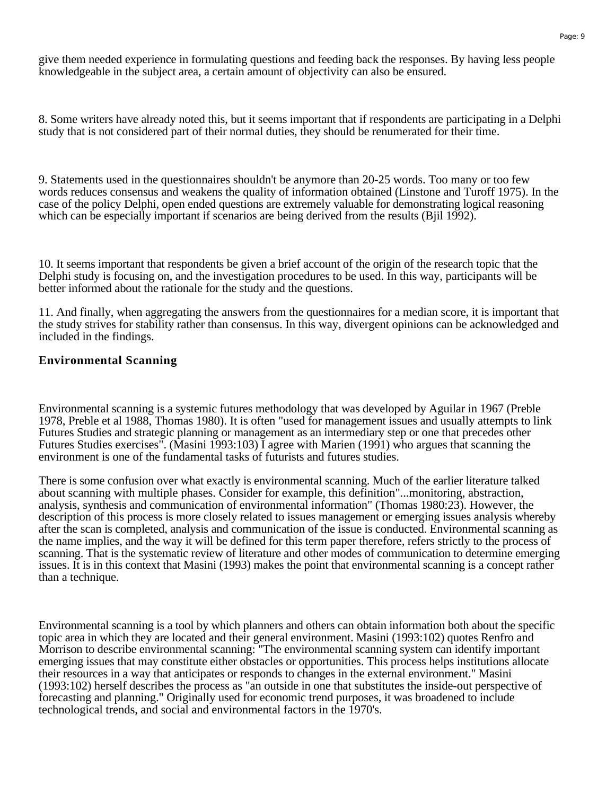give them needed experience in formulating questions and feeding back the responses. By having less people knowledgeable in the subject area, a certain amount of objectivity can also be ensured.

8. Some writers have already noted this, but it seems important that if respondents are participating in a Delphi study that is not considered part of their normal duties, they should be renumerated for their time.

9. Statements used in the questionnaires shouldn't be anymore than 20-25 words. Too many or too few words reduces consensus and weakens the quality of information obtained (Linstone and Turoff 1975). In the case of the policy Delphi, open ended questions are extremely valuable for demonstrating logical reasoning which can be especially important if scenarios are being derived from the results (Bill 1992).

10. It seems important that respondents be given a brief account of the origin of the research topic that the Delphi study is focusing on, and the investigation procedures to be used. In this way, participants will be better informed about the rationale for the study and the questions.

11. And finally, when aggregating the answers from the questionnaires for a median score, it is important that the study strives for stability rather than consensus. In this way, divergent opinions can be acknowledged and included in the findings.

#### **Environmental Scanning**

Environmental scanning is a systemic futures methodology that was developed by Aguilar in 1967 (Preble 1978, Preble et al 1988, Thomas 1980). It is often "used for management issues and usually attempts to link Futures Studies and strategic planning or management as an intermediary step or one that precedes other Futures Studies exercises". (Masini 1993:103) I agree with Marien (1991) who argues that scanning the environment is one of the fundamental tasks of futurists and futures studies.

There is some confusion over what exactly is environmental scanning. Much of the earlier literature talked about scanning with multiple phases. Consider for example, this definition"...monitoring, abstraction, analysis, synthesis and communication of environmental information" (Thomas 1980:23). However, the description of this process is more closely related to issues management or emerging issues analysis whereby after the scan is completed, analysis and communication of the issue is conducted. Environmental scanning as the name implies, and the way it will be defined for this term paper therefore, refers strictly to the process of scanning. That is the systematic review of literature and other modes of communication to determine emerging issues. It is in this context that Masini (1993) makes the point that environmental scanning is a concept rather than a technique.

Environmental scanning is a tool by which planners and others can obtain information both about the specific topic area in which they are located and their general environment. Masini (1993:102) quotes Renfro and Morrison to describe environmental scanning: "The environmental scanning system can identify important emerging issues that may constitute either obstacles or opportunities. This process helps institutions allocate their resources in a way that anticipates or responds to changes in the external environment." Masini (1993:102) herself describes the process as "an outside in one that substitutes the inside-out perspective of forecasting and planning." Originally used for economic trend purposes, it was broadened to include technological trends, and social and environmental factors in the 1970's.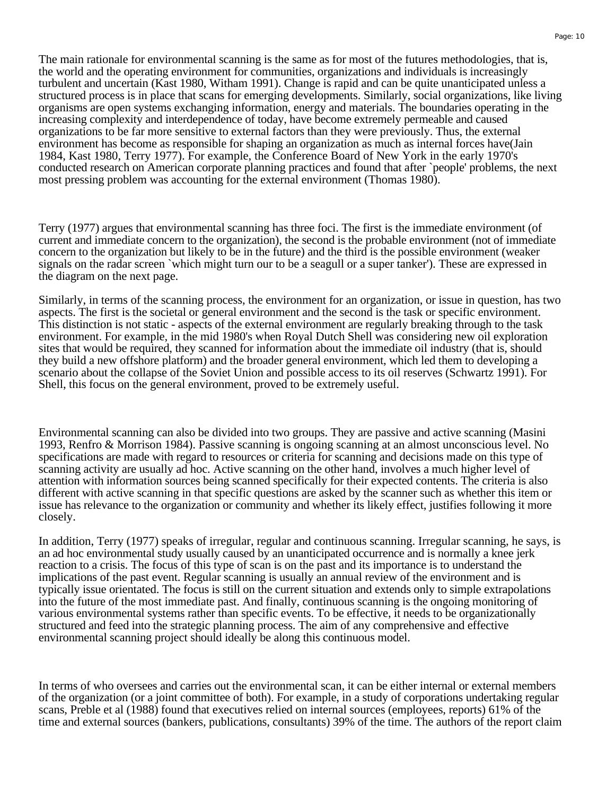The main rationale for environmental scanning is the same as for most of the futures methodologies, that is, the world and the operating environment for communities, organizations and individuals is increasingly turbulent and uncertain (Kast 1980, Witham 1991). Change is rapid and can be quite unanticipated unless a structured process is in place that scans for emerging developments. Similarly, social organizations, like living organisms are open systems exchanging information, energy and materials. The boundaries operating in the increasing complexity and interdependence of today, have become extremely permeable and caused organizations to be far more sensitive to external factors than they were previously. Thus, the external environment has become as responsible for shaping an organization as much as internal forces have(Jain 1984, Kast 1980, Terry 1977). For example, the Conference Board of New York in the early 1970's conducted research on American corporate planning practices and found that after `people' problems, the next most pressing problem was accounting for the external environment (Thomas 1980).

Terry (1977) argues that environmental scanning has three foci. The first is the immediate environment (of current and immediate concern to the organization), the second is the probable environment (not of immediate concern to the organization but likely to be in the future) and the third is the possible environment (weaker signals on the radar screen `which might turn our to be a seagull or a super tanker'). These are expressed in the diagram on the next page.

Similarly, in terms of the scanning process, the environment for an organization, or issue in question, has two aspects. The first is the societal or general environment and the second is the task or specific environment. This distinction is not static - aspects of the external environment are regularly breaking through to the task environment. For example, in the mid 1980's when Royal Dutch Shell was considering new oil exploration sites that would be required, they scanned for information about the immediate oil industry (that is, should they build a new offshore platform) and the broader general environment, which led them to developing a scenario about the collapse of the Soviet Union and possible access to its oil reserves (Schwartz 1991). For Shell, this focus on the general environment, proved to be extremely useful.

Environmental scanning can also be divided into two groups. They are passive and active scanning (Masini 1993, Renfro & Morrison 1984). Passive scanning is ongoing scanning at an almost unconscious level. No specifications are made with regard to resources or criteria for scanning and decisions made on this type of scanning activity are usually ad hoc. Active scanning on the other hand, involves a much higher level of attention with information sources being scanned specifically for their expected contents. The criteria is also different with active scanning in that specific questions are asked by the scanner such as whether this item or issue has relevance to the organization or community and whether its likely effect, justifies following it more closely.

In addition, Terry (1977) speaks of irregular, regular and continuous scanning. Irregular scanning, he says, is an ad hoc environmental study usually caused by an unanticipated occurrence and is normally a knee jerk reaction to a crisis. The focus of this type of scan is on the past and its importance is to understand the implications of the past event. Regular scanning is usually an annual review of the environment and is typically issue orientated. The focus is still on the current situation and extends only to simple extrapolations into the future of the most immediate past. And finally, continuous scanning is the ongoing monitoring of various environmental systems rather than specific events. To be effective, it needs to be organizationally structured and feed into the strategic planning process. The aim of any comprehensive and effective environmental scanning project should ideally be along this continuous model.

In terms of who oversees and carries out the environmental scan, it can be either internal or external members of the organization (or a joint committee of both). For example, in a study of corporations undertaking regular scans, Preble et al (1988) found that executives relied on internal sources (employees, reports) 61% of the time and external sources (bankers, publications, consultants) 39% of the time. The authors of the report claim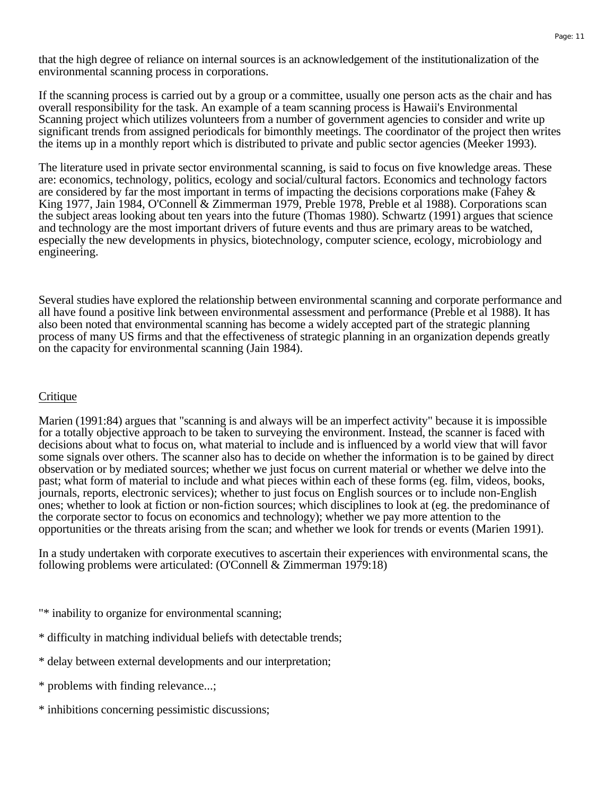that the high degree of reliance on internal sources is an acknowledgement of the institutionalization of the environmental scanning process in corporations.

If the scanning process is carried out by a group or a committee, usually one person acts as the chair and has overall responsibility for the task. An example of a team scanning process is Hawaii's Environmental Scanning project which utilizes volunteers from a number of government agencies to consider and write up significant trends from assigned periodicals for bimonthly meetings. The coordinator of the project then writes the items up in a monthly report which is distributed to private and public sector agencies (Meeker 1993).

The literature used in private sector environmental scanning, is said to focus on five knowledge areas. These are: economics, technology, politics, ecology and social/cultural factors. Economics and technology factors are considered by far the most important in terms of impacting the decisions corporations make (Fahey  $\&$ King 1977, Jain 1984, O'Connell & Zimmerman 1979, Preble 1978, Preble et al 1988). Corporations scan the subject areas looking about ten years into the future (Thomas 1980). Schwartz (1991) argues that science and technology are the most important drivers of future events and thus are primary areas to be watched, especially the new developments in physics, biotechnology, computer science, ecology, microbiology and engineering.

Several studies have explored the relationship between environmental scanning and corporate performance and all have found a positive link between environmental assessment and performance (Preble et al 1988). It has also been noted that environmental scanning has become a widely accepted part of the strategic planning process of many US firms and that the effectiveness of strategic planning in an organization depends greatly on the capacity for environmental scanning (Jain 1984).

#### **Critique**

Marien (1991:84) argues that "scanning is and always will be an imperfect activity" because it is impossible for a totally objective approach to be taken to surveying the environment. Instead, the scanner is faced with decisions about what to focus on, what material to include and is influenced by a world view that will favor some signals over others. The scanner also has to decide on whether the information is to be gained by direct observation or by mediated sources; whether we just focus on current material or whether we delve into the past; what form of material to include and what pieces within each of these forms (eg. film, videos, books, journals, reports, electronic services); whether to just focus on English sources or to include non-English ones; whether to look at fiction or non-fiction sources; which disciplines to look at (eg. the predominance of the corporate sector to focus on economics and technology); whether we pay more attention to the opportunities or the threats arising from the scan; and whether we look for trends or events (Marien 1991).

In a study undertaken with corporate executives to ascertain their experiences with environmental scans, the following problems were articulated: (O'Connell & Zimmerman 1979:18)

- "\* inability to organize for environmental scanning;
- \* difficulty in matching individual beliefs with detectable trends;
- \* delay between external developments and our interpretation;
- \* problems with finding relevance...;
- \* inhibitions concerning pessimistic discussions;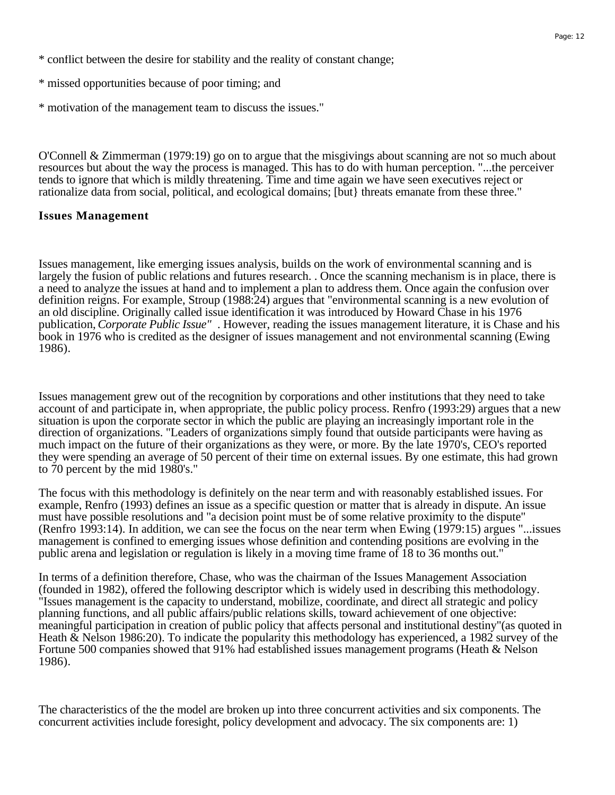- \* missed opportunities because of poor timing; and
- \* motivation of the management team to discuss the issues."

O'Connell & Zimmerman (1979:19) go on to argue that the misgivings about scanning are not so much about resources but about the way the process is managed. This has to do with human perception. "...the perceiver tends to ignore that which is mildly threatening. Time and time again we have seen executives reject or rationalize data from social, political, and ecological domains; [but} threats emanate from these three."

#### **Issues Management**

Issues management, like emerging issues analysis, builds on the work of environmental scanning and is largely the fusion of public relations and futures research. . Once the scanning mechanism is in place, there is a need to analyze the issues at hand and to implement a plan to address them. Once again the confusion over definition reigns. For example, Stroup (1988:24) argues that "environmental scanning is a new evolution of an old discipline. Originally called issue identification it was introduced by Howard Chase in his 1976 publication, *Corporate Public Issue"* . However, reading the issues management literature, it is Chase and his book in 1976 who is credited as the designer of issues management and not environmental scanning (Ewing 1986).

Issues management grew out of the recognition by corporations and other institutions that they need to take account of and participate in, when appropriate, the public policy process. Renfro (1993:29) argues that a new situation is upon the corporate sector in which the public are playing an increasingly important role in the direction of organizations. "Leaders of organizations simply found that outside participants were having as much impact on the future of their organizations as they were, or more. By the late 1970's, CEO's reported they were spending an average of 50 percent of their time on external issues. By one estimate, this had grown to 70 percent by the mid 1980's."

The focus with this methodology is definitely on the near term and with reasonably established issues. For example, Renfro (1993) defines an issue as a specific question or matter that is already in dispute. An issue must have possible resolutions and "a decision point must be of some relative proximity to the dispute" (Renfro 1993:14). In addition, we can see the focus on the near term when Ewing (1979:15) argues "...issues management is confined to emerging issues whose definition and contending positions are evolving in the public arena and legislation or regulation is likely in a moving time frame of 18 to 36 months out."

In terms of a definition therefore, Chase, who was the chairman of the Issues Management Association (founded in 1982), offered the following descriptor which is widely used in describing this methodology. "Issues management is the capacity to understand, mobilize, coordinate, and direct all strategic and policy planning functions, and all public affairs/public relations skills, toward achievement of one objective: meaningful participation in creation of public policy that affects personal and institutional destiny"(as quoted in Heath & Nelson 1986:20). To indicate the popularity this methodology has experienced, a 1982 survey of the Fortune 500 companies showed that 91% had established issues management programs (Heath & Nelson 1986).

The characteristics of the the model are broken up into three concurrent activities and six components. The concurrent activities include foresight, policy development and advocacy. The six components are: 1)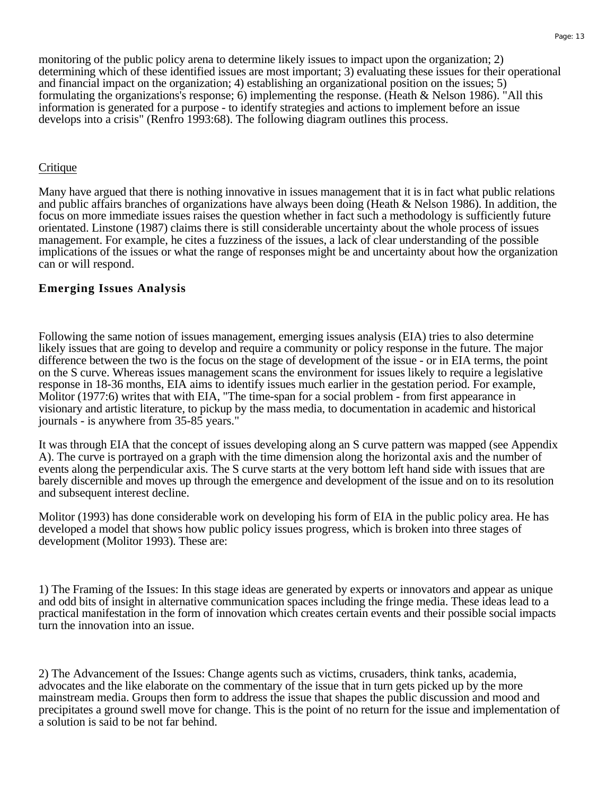monitoring of the public policy arena to determine likely issues to impact upon the organization; 2) determining which of these identified issues are most important; 3) evaluating these issues for their operational and financial impact on the organization; 4) establishing an organizational position on the issues; 5) formulating the organizations's response; 6) implementing the response. (Heath & Nelson 1986). "All this information is generated for a purpose - to identify strategies and actions to implement before an issue develops into a crisis" (Renfro 1993:68). The following diagram outlines this process.

#### **Critique**

Many have argued that there is nothing innovative in issues management that it is in fact what public relations and public affairs branches of organizations have always been doing (Heath & Nelson 1986). In addition, the focus on more immediate issues raises the question whether in fact such a methodology is sufficiently future orientated. Linstone (1987) claims there is still considerable uncertainty about the whole process of issues management. For example, he cites a fuzziness of the issues, a lack of clear understanding of the possible implications of the issues or what the range of responses might be and uncertainty about how the organization can or will respond.

#### **Emerging Issues Analysis**

Following the same notion of issues management, emerging issues analysis (EIA) tries to also determine likely issues that are going to develop and require a community or policy response in the future. The major difference between the two is the focus on the stage of development of the issue - or in EIA terms, the point on the S curve. Whereas issues management scans the environment for issues likely to require a legislative response in 18-36 months, EIA aims to identify issues much earlier in the gestation period. For example, Molitor (1977:6) writes that with EIA, "The time-span for a social problem - from first appearance in visionary and artistic literature, to pickup by the mass media, to documentation in academic and historical journals - is anywhere from 35-85 years."

It was through EIA that the concept of issues developing along an S curve pattern was mapped (see Appendix A). The curve is portrayed on a graph with the time dimension along the horizontal axis and the number of events along the perpendicular axis. The S curve starts at the very bottom left hand side with issues that are barely discernible and moves up through the emergence and development of the issue and on to its resolution and subsequent interest decline.

Molitor (1993) has done considerable work on developing his form of EIA in the public policy area. He has developed a model that shows how public policy issues progress, which is broken into three stages of development (Molitor 1993). These are:

1) The Framing of the Issues: In this stage ideas are generated by experts or innovators and appear as unique and odd bits of insight in alternative communication spaces including the fringe media. These ideas lead to a practical manifestation in the form of innovation which creates certain events and their possible social impacts turn the innovation into an issue.

2) The Advancement of the Issues: Change agents such as victims, crusaders, think tanks, academia, advocates and the like elaborate on the commentary of the issue that in turn gets picked up by the more mainstream media. Groups then form to address the issue that shapes the public discussion and mood and precipitates a ground swell move for change. This is the point of no return for the issue and implementation of a solution is said to be not far behind.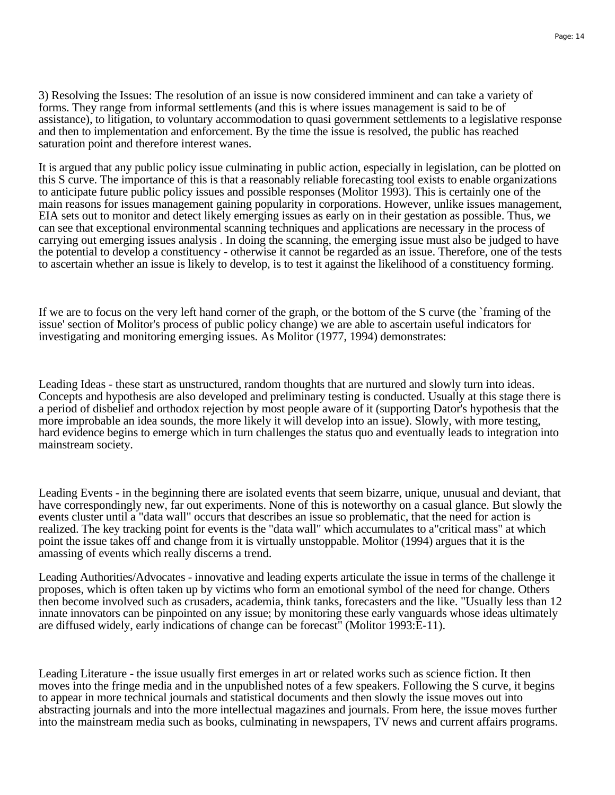3) Resolving the Issues: The resolution of an issue is now considered imminent and can take a variety of forms. They range from informal settlements (and this is where issues management is said to be of assistance), to litigation, to voluntary accommodation to quasi government settlements to a legislative response and then to implementation and enforcement. By the time the issue is resolved, the public has reached saturation point and therefore interest wanes.

It is argued that any public policy issue culminating in public action, especially in legislation, can be plotted on this S curve. The importance of this is that a reasonably reliable forecasting tool exists to enable organizations to anticipate future public policy issues and possible responses (Molitor 1993). This is certainly one of the main reasons for issues management gaining popularity in corporations. However, unlike issues management, EIA sets out to monitor and detect likely emerging issues as early on in their gestation as possible. Thus, we can see that exceptional environmental scanning techniques and applications are necessary in the process of carrying out emerging issues analysis . In doing the scanning, the emerging issue must also be judged to have the potential to develop a constituency - otherwise it cannot be regarded as an issue. Therefore, one of the tests to ascertain whether an issue is likely to develop, is to test it against the likelihood of a constituency forming.

If we are to focus on the very left hand corner of the graph, or the bottom of the S curve (the `framing of the issue' section of Molitor's process of public policy change) we are able to ascertain useful indicators for investigating and monitoring emerging issues. As Molitor (1977, 1994) demonstrates:

Leading Ideas - these start as unstructured, random thoughts that are nurtured and slowly turn into ideas. Concepts and hypothesis are also developed and preliminary testing is conducted. Usually at this stage there is a period of disbelief and orthodox rejection by most people aware of it (supporting Dator's hypothesis that the more improbable an idea sounds, the more likely it will develop into an issue). Slowly, with more testing, hard evidence begins to emerge which in turn challenges the status quo and eventually leads to integration into mainstream society.

Leading Events - in the beginning there are isolated events that seem bizarre, unique, unusual and deviant, that have correspondingly new, far out experiments. None of this is noteworthy on a casual glance. But slowly the events cluster until a "data wall" occurs that describes an issue so problematic, that the need for action is realized. The key tracking point for events is the "data wall" which accumulates to a"critical mass" at which point the issue takes off and change from it is virtually unstoppable. Molitor (1994) argues that it is the amassing of events which really discerns a trend.

Leading Authorities/Advocates - innovative and leading experts articulate the issue in terms of the challenge it proposes, which is often taken up by victims who form an emotional symbol of the need for change. Others then become involved such as crusaders, academia, think tanks, forecasters and the like. "Usually less than 12 innate innovators can be pinpointed on any issue; by monitoring these early vanguards whose ideas ultimately are diffused widely, early indications of change can be forecast" (Molitor 1993:E-11).

Leading Literature - the issue usually first emerges in art or related works such as science fiction. It then moves into the fringe media and in the unpublished notes of a few speakers. Following the S curve, it begins to appear in more technical journals and statistical documents and then slowly the issue moves out into abstracting journals and into the more intellectual magazines and journals. From here, the issue moves further into the mainstream media such as books, culminating in newspapers, TV news and current affairs programs.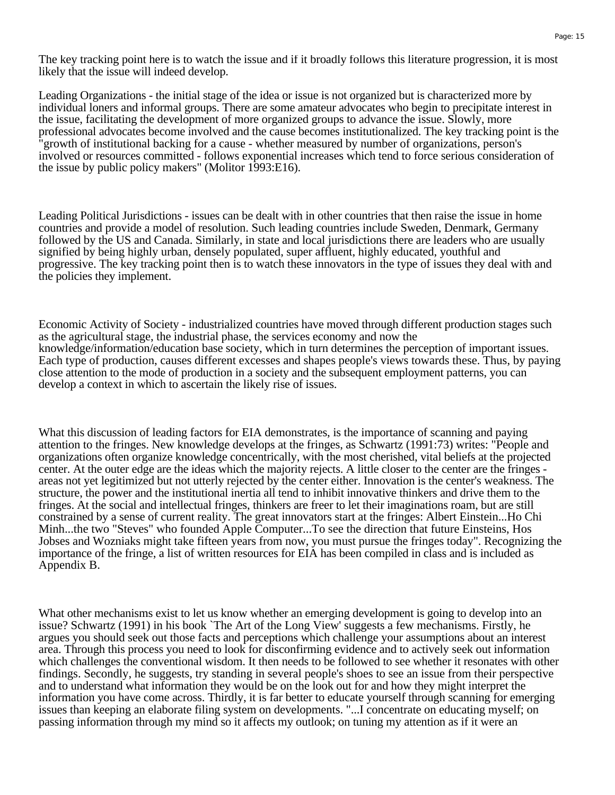The key tracking point here is to watch the issue and if it broadly follows this literature progression, it is most likely that the issue will indeed develop.

Leading Organizations - the initial stage of the idea or issue is not organized but is characterized more by individual loners and informal groups. There are some amateur advocates who begin to precipitate interest in the issue, facilitating the development of more organized groups to advance the issue. Slowly, more professional advocates become involved and the cause becomes institutionalized. The key tracking point is the "growth of institutional backing for a cause - whether measured by number of organizations, person's involved or resources committed - follows exponential increases which tend to force serious consideration of the issue by public policy makers" (Molitor 1993:E16).

Leading Political Jurisdictions - issues can be dealt with in other countries that then raise the issue in home countries and provide a model of resolution. Such leading countries include Sweden, Denmark, Germany followed by the US and Canada. Similarly, in state and local jurisdictions there are leaders who are usually signified by being highly urban, densely populated, super affluent, highly educated, youthful and progressive. The key tracking point then is to watch these innovators in the type of issues they deal with and the policies they implement.

Economic Activity of Society - industrialized countries have moved through different production stages such as the agricultural stage, the industrial phase, the services economy and now the knowledge/information/education base society, which in turn determines the perception of important issues. Each type of production, causes different excesses and shapes people's views towards these. Thus, by paying close attention to the mode of production in a society and the subsequent employment patterns, you can develop a context in which to ascertain the likely rise of issues.

What this discussion of leading factors for EIA demonstrates, is the importance of scanning and paying attention to the fringes. New knowledge develops at the fringes, as Schwartz (1991:73) writes: "People and organizations often organize knowledge concentrically, with the most cherished, vital beliefs at the projected center. At the outer edge are the ideas which the majority rejects. A little closer to the center are the fringes areas not yet legitimized but not utterly rejected by the center either. Innovation is the center's weakness. The structure, the power and the institutional inertia all tend to inhibit innovative thinkers and drive them to the fringes. At the social and intellectual fringes, thinkers are freer to let their imaginations roam, but are still constrained by a sense of current reality. The great innovators start at the fringes: Albert Einstein...Ho Chi Minh...the two "Steves" who founded Apple Computer...To see the direction that future Einsteins, Hos Jobses and Wozniaks might take fifteen years from now, you must pursue the fringes today". Recognizing the importance of the fringe, a list of written resources for EIA has been compiled in class and is included as Appendix B.

What other mechanisms exist to let us know whether an emerging development is going to develop into an issue? Schwartz (1991) in his book `The Art of the Long View' suggests a few mechanisms. Firstly, he argues you should seek out those facts and perceptions which challenge your assumptions about an interest area. Through this process you need to look for disconfirming evidence and to actively seek out information which challenges the conventional wisdom. It then needs to be followed to see whether it resonates with other findings. Secondly, he suggests, try standing in several people's shoes to see an issue from their perspective and to understand what information they would be on the look out for and how they might interpret the information you have come across. Thirdly, it is far better to educate yourself through scanning for emerging issues than keeping an elaborate filing system on developments. "...I concentrate on educating myself; on passing information through my mind so it affects my outlook; on tuning my attention as if it were an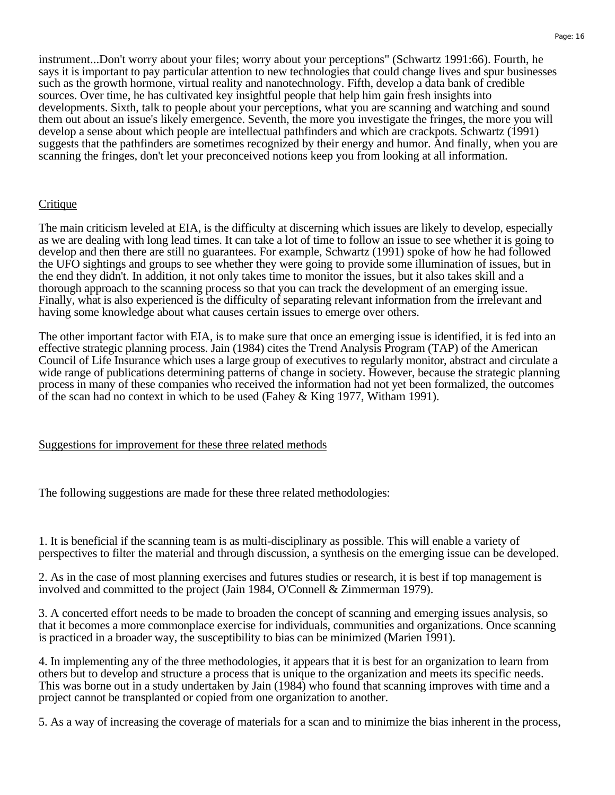instrument...Don't worry about your files; worry about your perceptions" (Schwartz 1991:66). Fourth, he says it is important to pay particular attention to new technologies that could change lives and spur businesses such as the growth hormone, virtual reality and nanotechnology. Fifth, develop a data bank of credible sources. Over time, he has cultivated key insightful people that help him gain fresh insights into developments. Sixth, talk to people about your perceptions, what you are scanning and watching and sound them out about an issue's likely emergence. Seventh, the more you investigate the fringes, the more you will develop a sense about which people are intellectual pathfinders and which are crackpots. Schwartz (1991) suggests that the pathfinders are sometimes recognized by their energy and humor. And finally, when you are scanning the fringes, don't let your preconceived notions keep you from looking at all information.

#### **Critique**

The main criticism leveled at EIA, is the difficulty at discerning which issues are likely to develop, especially as we are dealing with long lead times. It can take a lot of time to follow an issue to see whether it is going to develop and then there are still no guarantees. For example, Schwartz (1991) spoke of how he had followed the UFO sightings and groups to see whether they were going to provide some illumination of issues, but in the end they didn't. In addition, it not only takes time to monitor the issues, but it also takes skill and a thorough approach to the scanning process so that you can track the development of an emerging issue. Finally, what is also experienced is the difficulty of separating relevant information from the irrelevant and having some knowledge about what causes certain issues to emerge over others.

The other important factor with EIA, is to make sure that once an emerging issue is identified, it is fed into an effective strategic planning process. Jain (1984) cites the Trend Analysis Program (TAP) of the American Council of Life Insurance which uses a large group of executives to regularly monitor, abstract and circulate a wide range of publications determining patterns of change in society. However, because the strategic planning process in many of these companies who received the information had not yet been formalized, the outcomes of the scan had no context in which to be used (Fahey  $\&$  King 1977, Witham 1991).

Suggestions for improvement for these three related methods

The following suggestions are made for these three related methodologies:

1. It is beneficial if the scanning team is as multi-disciplinary as possible. This will enable a variety of perspectives to filter the material and through discussion, a synthesis on the emerging issue can be developed.

2. As in the case of most planning exercises and futures studies or research, it is best if top management is involved and committed to the project (Jain 1984, O'Connell & Zimmerman 1979).

3. A concerted effort needs to be made to broaden the concept of scanning and emerging issues analysis, so that it becomes a more commonplace exercise for individuals, communities and organizations. Once scanning is practiced in a broader way, the susceptibility to bias can be minimized (Marien 1991).

4. In implementing any of the three methodologies, it appears that it is best for an organization to learn from others but to develop and structure a process that is unique to the organization and meets its specific needs. This was borne out in a study undertaken by Jain (1984) who found that scanning improves with time and a project cannot be transplanted or copied from one organization to another.

5. As a way of increasing the coverage of materials for a scan and to minimize the bias inherent in the process,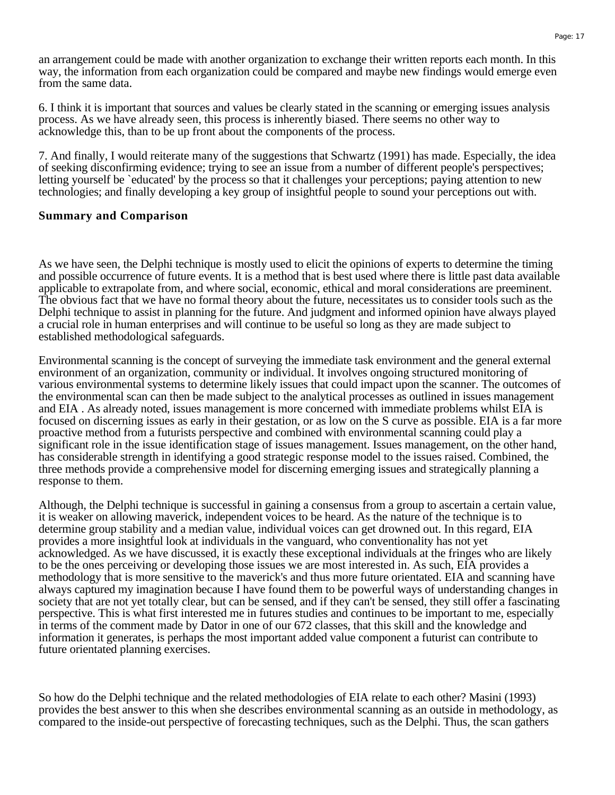an arrangement could be made with another organization to exchange their written reports each month. In this way, the information from each organization could be compared and maybe new findings would emerge even from the same data.

6. I think it is important that sources and values be clearly stated in the scanning or emerging issues analysis process. As we have already seen, this process is inherently biased. There seems no other way to acknowledge this, than to be up front about the components of the process.

7. And finally, I would reiterate many of the suggestions that Schwartz (1991) has made. Especially, the idea of seeking disconfirming evidence; trying to see an issue from a number of different people's perspectives; letting yourself be `educated' by the process so that it challenges your perceptions; paying attention to new technologies; and finally developing a key group of insightful people to sound your perceptions out with.

#### **Summary and Comparison**

As we have seen, the Delphi technique is mostly used to elicit the opinions of experts to determine the timing and possible occurrence of future events. It is a method that is best used where there is little past data available applicable to extrapolate from, and where social, economic, ethical and moral considerations are preeminent. The obvious fact that we have no formal theory about the future, necessitates us to consider tools such as the Delphi technique to assist in planning for the future. And judgment and informed opinion have always played a crucial role in human enterprises and will continue to be useful so long as they are made subject to established methodological safeguards.

Environmental scanning is the concept of surveying the immediate task environment and the general external environment of an organization, community or individual. It involves ongoing structured monitoring of various environmental systems to determine likely issues that could impact upon the scanner. The outcomes of the environmental scan can then be made subject to the analytical processes as outlined in issues management and EIA . As already noted, issues management is more concerned with immediate problems whilst EIA is focused on discerning issues as early in their gestation, or as low on the S curve as possible. EIA is a far more proactive method from a futurists perspective and combined with environmental scanning could play a significant role in the issue identification stage of issues management. Issues management, on the other hand, has considerable strength in identifying a good strategic response model to the issues raised. Combined, the three methods provide a comprehensive model for discerning emerging issues and strategically planning a response to them.

Although, the Delphi technique is successful in gaining a consensus from a group to ascertain a certain value, it is weaker on allowing maverick, independent voices to be heard. As the nature of the technique is to determine group stability and a median value, individual voices can get drowned out. In this regard, EIA provides a more insightful look at individuals in the vanguard, who conventionality has not yet acknowledged. As we have discussed, it is exactly these exceptional individuals at the fringes who are likely to be the ones perceiving or developing those issues we are most interested in. As such, EIA provides a methodology that is more sensitive to the maverick's and thus more future orientated. EIA and scanning have always captured my imagination because I have found them to be powerful ways of understanding changes in society that are not yet totally clear, but can be sensed, and if they can't be sensed, they still offer a fascinating perspective. This is what first interested me in futures studies and continues to be important to me, especially in terms of the comment made by Dator in one of our 672 classes, that this skill and the knowledge and information it generates, is perhaps the most important added value component a futurist can contribute to future orientated planning exercises.

So how do the Delphi technique and the related methodologies of EIA relate to each other? Masini (1993) provides the best answer to this when she describes environmental scanning as an outside in methodology, as compared to the inside-out perspective of forecasting techniques, such as the Delphi. Thus, the scan gathers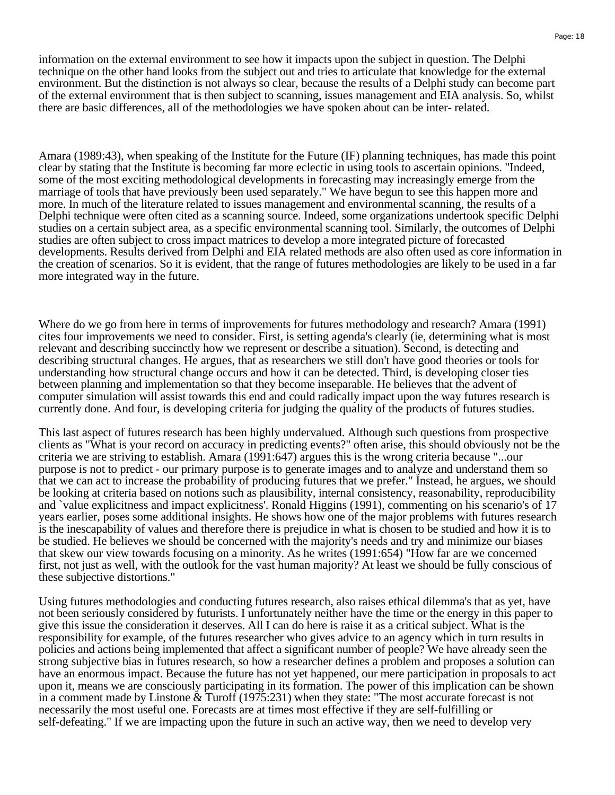information on the external environment to see how it impacts upon the subject in question. The Delphi technique on the other hand looks from the subject out and tries to articulate that knowledge for the external environment. But the distinction is not always so clear, because the results of a Delphi study can become part of the external environment that is then subject to scanning, issues management and EIA analysis. So, whilst there are basic differences, all of the methodologies we have spoken about can be inter- related.

Amara (1989:43), when speaking of the Institute for the Future (IF) planning techniques, has made this point clear by stating that the Institute is becoming far more eclectic in using tools to ascertain opinions. "Indeed, some of the most exciting methodological developments in forecasting may increasingly emerge from the marriage of tools that have previously been used separately." We have begun to see this happen more and more. In much of the literature related to issues management and environmental scanning, the results of a Delphi technique were often cited as a scanning source. Indeed, some organizations undertook specific Delphi studies on a certain subject area, as a specific environmental scanning tool. Similarly, the outcomes of Delphi studies are often subject to cross impact matrices to develop a more integrated picture of forecasted developments. Results derived from Delphi and EIA related methods are also often used as core information in the creation of scenarios. So it is evident, that the range of futures methodologies are likely to be used in a far more integrated way in the future.

Where do we go from here in terms of improvements for futures methodology and research? Amara (1991) cites four improvements we need to consider. First, is setting agenda's clearly (ie, determining what is most relevant and describing succinctly how we represent or describe a situation). Second, is detecting and describing structural changes. He argues, that as researchers we still don't have good theories or tools for understanding how structural change occurs and how it can be detected. Third, is developing closer ties between planning and implementation so that they become inseparable. He believes that the advent of computer simulation will assist towards this end and could radically impact upon the way futures research is currently done. And four, is developing criteria for judging the quality of the products of futures studies.

This last aspect of futures research has been highly undervalued. Although such questions from prospective clients as "What is your record on accuracy in predicting events?" often arise, this should obviously not be the criteria we are striving to establish. Amara (1991:647) argues this is the wrong criteria because "...our purpose is not to predict - our primary purpose is to generate images and to analyze and understand them so that we can act to increase the probability of producing futures that we prefer." Instead, he argues, we should be looking at criteria based on notions such as plausibility, internal consistency, reasonability, reproducibility and `value explicitness and impact explicitness'. Ronald Higgins (1991), commenting on his scenario's of 17 years earlier, poses some additional insights. He shows how one of the major problems with futures research is the inescapability of values and therefore there is prejudice in what is chosen to be studied and how it is to be studied. He believes we should be concerned with the majority's needs and try and minimize our biases that skew our view towards focusing on a minority. As he writes (1991:654) "How far are we concerned first, not just as well, with the outlook for the vast human majority? At least we should be fully conscious of these subjective distortions."

Using futures methodologies and conducting futures research, also raises ethical dilemma's that as yet, have not been seriously considered by futurists. I unfortunately neither have the time or the energy in this paper to give this issue the consideration it deserves. All I can do here is raise it as a critical subject. What is the responsibility for example, of the futures researcher who gives advice to an agency which in turn results in policies and actions being implemented that affect a significant number of people? We have already seen the strong subjective bias in futures research, so how a researcher defines a problem and proposes a solution can have an enormous impact. Because the future has not yet happened, our mere participation in proposals to act upon it, means we are consciously participating in its formation. The power of this implication can be shown in a comment made by Linstone & Turoff (1975:231) when they state: "The most accurate forecast is not necessarily the most useful one. Forecasts are at times most effective if they are self-fulfilling or self-defeating." If we are impacting upon the future in such an active way, then we need to develop very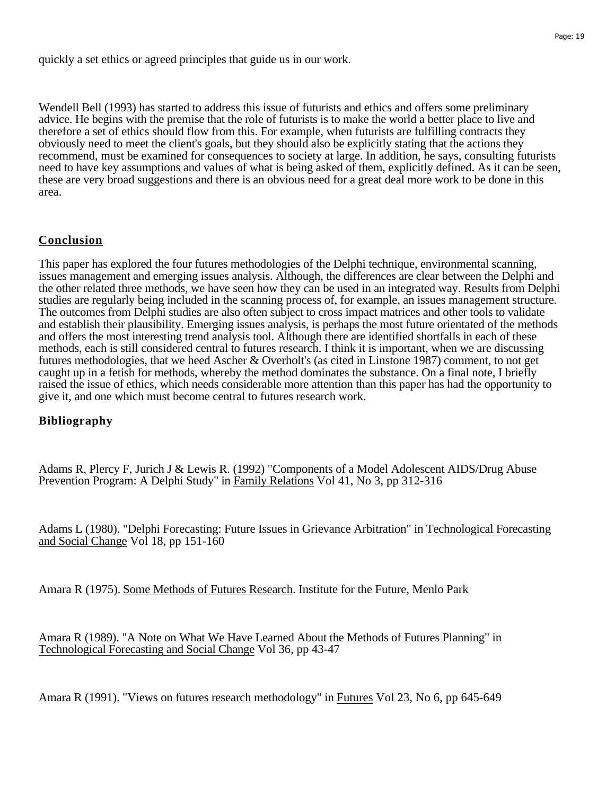quickly a set ethics or agreed principles that guide us in our work.

Wendell Bell (1993) has started to address this issue of futurists and ethics and offers some preliminary advice. He begins with the premise that the role of futurists is to make the world a better place to live and therefore a set of ethics should flow from this. For example, when futurists are fulfilling contracts they obviously need to meet the client's goals, but they should also be explicitly stating that the actions they recommend, must be examined for consequences to society at large. In addition, he says, consulting futurists need to have key assumptions and values of what is being asked of them, explicitly defined. As it can be seen, these are very broad suggestions and there is an obvious need for a great deal more work to be done in this area.

## **Conclusion**

This paper has explored the four futures methodologies of the Delphi technique, environmental scanning, issues management and emerging issues analysis. Although, the differences are clear between the Delphi and the other related three methods, we have seen how they can be used in an integrated way. Results from Delphi studies are regularly being included in the scanning process of, for example, an issues management structure. The outcomes from Delphi studies are also often subject to cross impact matrices and other tools to validate and establish their plausibility. Emerging issues analysis, is perhaps the most future orientated of the methods and offers the most interesting trend analysis tool. Although there are identified shortfalls in each of these methods, each is still considered central to futures research. I think it is important, when we are discussing futures methodologies, that we heed Ascher & Overholt's (as cited in Linstone 1987) comment, to not get caught up in a fetish for methods, whereby the method dominates the substance. On a final note, I briefly raised the issue of ethics, which needs considerable more attention than this paper has had the opportunity to give it, and one which must become central to futures research work.

### **Bibliography**

Adams R, Plercy F, Jurich J & Lewis R. (1992) "Components of a Model Adolescent AIDS/Drug Abuse Prevention Program: A Delphi Study" in Family Relations Vol 41, No 3, pp 312-316

Adams L (1980). "Delphi Forecasting: Future Issues in Grievance Arbitration" in Technological Forecasting and Social Change Vol 18, pp 151-160

Amara R (1975). Some Methods of Futures Research. Institute for the Future, Menlo Park

Amara R (1989). "A Note on What We Have Learned About the Methods of Futures Planning" in Technological Forecasting and Social Change Vol 36, pp 43-47

Amara R (1991). "Views on futures research methodology" in Futures Vol 23, No 6, pp 645-649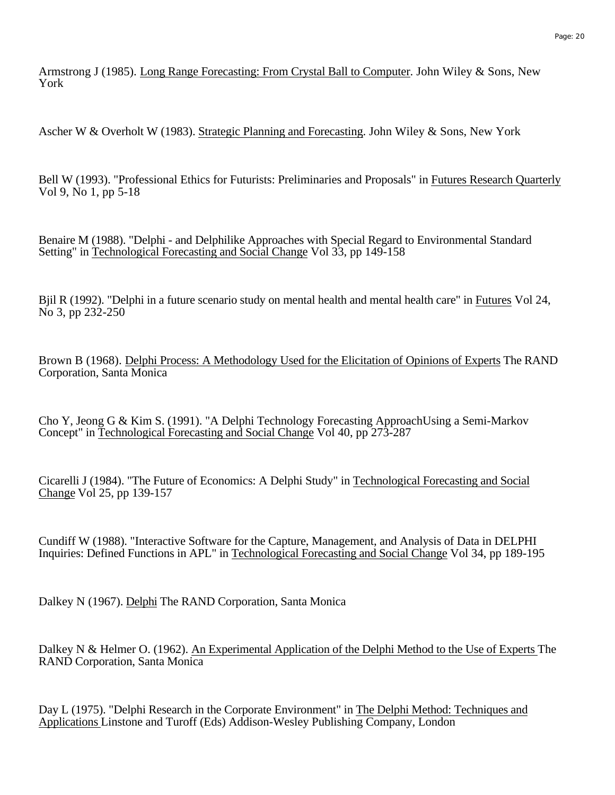Armstrong J (1985). Long Range Forecasting: From Crystal Ball to Computer. John Wiley & Sons, New York

Ascher W & Overholt W (1983). Strategic Planning and Forecasting. John Wiley & Sons, New York

Bell W (1993). "Professional Ethics for Futurists: Preliminaries and Proposals" in Futures Research Quarterly Vol 9, No 1, pp 5-18

Benaire M (1988). "Delphi - and Delphilike Approaches with Special Regard to Environmental Standard Setting" in Technological Forecasting and Social Change Vol 33, pp 149-158

Bjil R (1992). "Delphi in a future scenario study on mental health and mental health care" in Futures Vol 24, No 3, pp 232-250

Brown B (1968). Delphi Process: A Methodology Used for the Elicitation of Opinions of Experts The RAND Corporation, Santa Monica

Cho Y, Jeong G & Kim S. (1991). "A Delphi Technology Forecasting ApproachUsing a Semi-Markov Concept" in Technological Forecasting and Social Change Vol 40, pp 273-287

Cicarelli J (1984). "The Future of Economics: A Delphi Study" in Technological Forecasting and Social Change Vol 25, pp 139-157

Cundiff W (1988). "Interactive Software for the Capture, Management, and Analysis of Data in DELPHI Inquiries: Defined Functions in APL" in Technological Forecasting and Social Change Vol 34, pp 189-195

Dalkey N (1967). Delphi The RAND Corporation, Santa Monica

Dalkey N & Helmer O. (1962). An Experimental Application of the Delphi Method to the Use of Experts The RAND Corporation, Santa Monica

Day L (1975). "Delphi Research in the Corporate Environment" in The Delphi Method: Techniques and Applications Linstone and Turoff (Eds) Addison-Wesley Publishing Company, London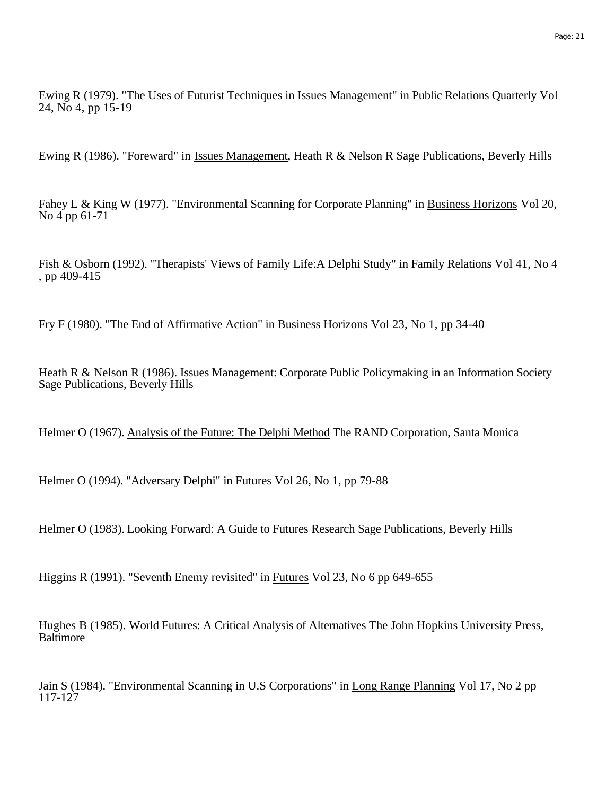Ewing R (1979). "The Uses of Futurist Techniques in Issues Management" in Public Relations Quarterly Vol 24, No 4, pp 15-19

Ewing R (1986). "Foreward" in Issues Management, Heath R & Nelson R Sage Publications, Beverly Hills

Fahey L & King W (1977). "Environmental Scanning for Corporate Planning" in Business Horizons Vol 20, No 4 pp 61-71

Fish & Osborn (1992). "Therapists' Views of Family Life:A Delphi Study" in Family Relations Vol 41, No 4 , pp 409-415

Fry F (1980). "The End of Affirmative Action" in Business Horizons Vol 23, No 1, pp 34-40

Heath R & Nelson R (1986). Issues Management: Corporate Public Policymaking in an Information Society Sage Publications, Beverly Hills

Helmer O (1967). Analysis of the Future: The Delphi Method The RAND Corporation, Santa Monica

Helmer O (1994). "Adversary Delphi" in Futures Vol 26, No 1, pp 79-88

Helmer O (1983). Looking Forward: A Guide to Futures Research Sage Publications, Beverly Hills

Higgins R (1991). "Seventh Enemy revisited" in Futures Vol 23, No 6 pp 649-655

Hughes B (1985). World Futures: A Critical Analysis of Alternatives The John Hopkins University Press, **Baltimore** 

Jain S (1984). "Environmental Scanning in U.S Corporations" in Long Range Planning Vol 17, No 2 pp 117-127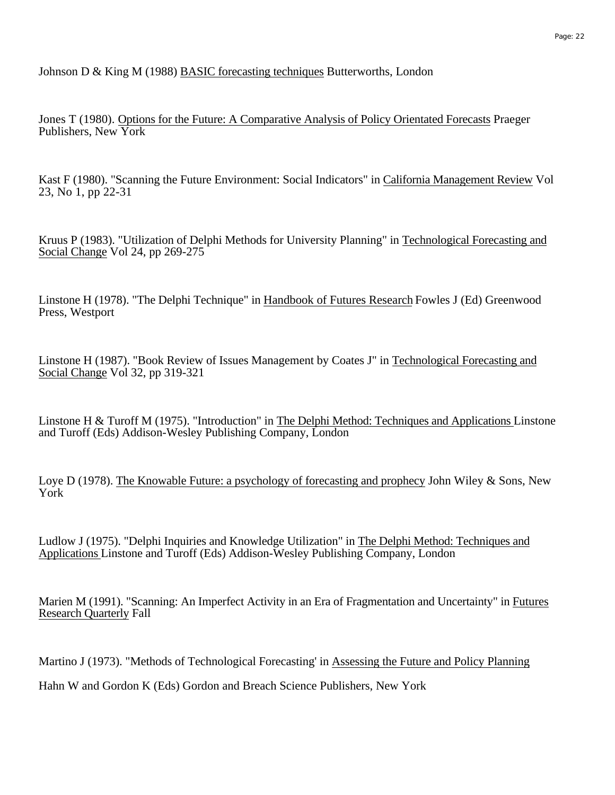Johnson D & King M (1988) BASIC forecasting techniques Butterworths, London

Jones T (1980). Options for the Future: A Comparative Analysis of Policy Orientated Forecasts Praeger Publishers, New York

Kast F (1980). "Scanning the Future Environment: Social Indicators" in California Management Review Vol 23, No 1, pp 22-31

Kruus P (1983). "Utilization of Delphi Methods for University Planning" in Technological Forecasting and Social Change Vol 24, pp 269-275

Linstone H (1978). "The Delphi Technique" in Handbook of Futures Research Fowles J (Ed) Greenwood Press, Westport

Linstone H (1987). "Book Review of Issues Management by Coates J" in Technological Forecasting and Social Change Vol 32, pp 319-321

Linstone H & Turoff M (1975). "Introduction" in The Delphi Method: Techniques and Applications Linstone and Turoff (Eds) Addison-Wesley Publishing Company, London

Loye D (1978). The Knowable Future: a psychology of forecasting and prophecy John Wiley & Sons, New York

Ludlow J (1975). "Delphi Inquiries and Knowledge Utilization" in The Delphi Method: Techniques and Applications Linstone and Turoff (Eds) Addison-Wesley Publishing Company, London

Marien M (1991). "Scanning: An Imperfect Activity in an Era of Fragmentation and Uncertainty" in Futures Research Quarterly Fall

Martino J (1973). "Methods of Technological Forecasting' in Assessing the Future and Policy Planning

Hahn W and Gordon K (Eds) Gordon and Breach Science Publishers, New York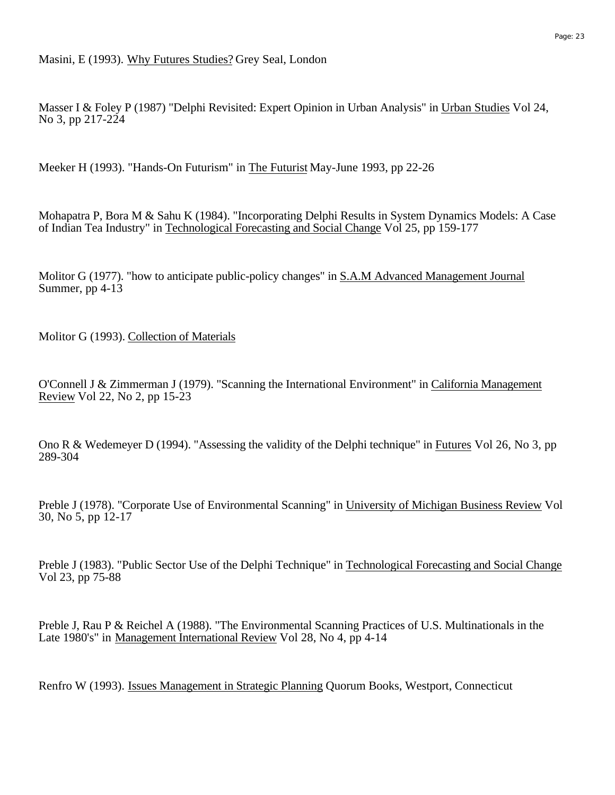Masser I & Foley P (1987) "Delphi Revisited: Expert Opinion in Urban Analysis" in Urban Studies Vol 24, No 3, pp 217-224

Meeker H (1993). "Hands-On Futurism" in The Futurist May-June 1993, pp 22-26

Mohapatra P, Bora M & Sahu K (1984). "Incorporating Delphi Results in System Dynamics Models: A Case of Indian Tea Industry" in Technological Forecasting and Social Change Vol 25, pp 159-177

Molitor G (1977). "how to anticipate public-policy changes" in S.A.M Advanced Management Journal Summer, pp 4-13

Molitor G (1993). Collection of Materials

O'Connell J & Zimmerman J (1979). "Scanning the International Environment" in California Management Review Vol 22, No 2, pp 15-23

Ono R & Wedemeyer D (1994). "Assessing the validity of the Delphi technique" in Futures Vol 26, No 3, pp 289-304

Preble J (1978). "Corporate Use of Environmental Scanning" in University of Michigan Business Review Vol 30, No 5, pp 12-17

Preble J (1983). "Public Sector Use of the Delphi Technique" in Technological Forecasting and Social Change Vol 23, pp 75-88

Preble J, Rau P & Reichel A (1988). "The Environmental Scanning Practices of U.S. Multinationals in the Late 1980's" in Management International Review Vol 28, No 4, pp 4-14

Renfro W (1993). Issues Management in Strategic Planning Quorum Books, Westport, Connecticut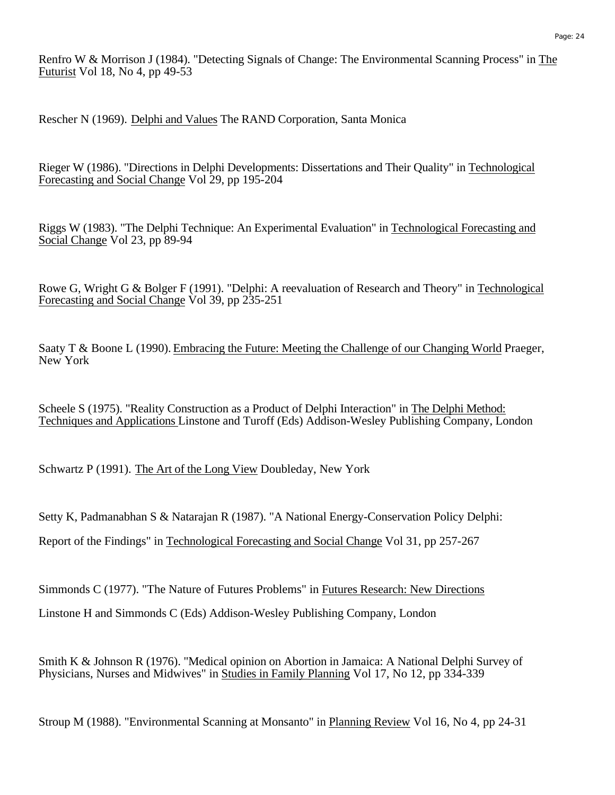Renfro W & Morrison J (1984). "Detecting Signals of Change: The Environmental Scanning Process" in The Futurist Vol 18, No 4, pp 49-53

Rescher N (1969). Delphi and Values The RAND Corporation, Santa Monica

Rieger W (1986). "Directions in Delphi Developments: Dissertations and Their Quality" in Technological Forecasting and Social Change Vol 29, pp 195-204

Riggs W (1983). "The Delphi Technique: An Experimental Evaluation" in Technological Forecasting and Social Change Vol 23, pp 89-94

Rowe G, Wright G & Bolger F (1991). "Delphi: A reevaluation of Research and Theory" in Technological Forecasting and Social Change Vol 39, pp 235-251

Saaty T & Boone L (1990). Embracing the Future: Meeting the Challenge of our Changing World Praeger, New York

Scheele S (1975). "Reality Construction as a Product of Delphi Interaction" in The Delphi Method: Techniques and Applications Linstone and Turoff (Eds) Addison-Wesley Publishing Company, London

Schwartz P (1991). The Art of the Long View Doubleday, New York

Setty K, Padmanabhan S & Natarajan R (1987). "A National Energy-Conservation Policy Delphi: Report of the Findings" in Technological Forecasting and Social Change Vol 31, pp 257-267

Simmonds C (1977). "The Nature of Futures Problems" in Futures Research: New Directions Linstone H and Simmonds C (Eds) Addison-Wesley Publishing Company, London

Smith K & Johnson R (1976). "Medical opinion on Abortion in Jamaica: A National Delphi Survey of Physicians, Nurses and Midwives" in Studies in Family Planning Vol 17, No 12, pp 334-339

Stroup M (1988). "Environmental Scanning at Monsanto" in Planning Review Vol 16, No 4, pp 24-31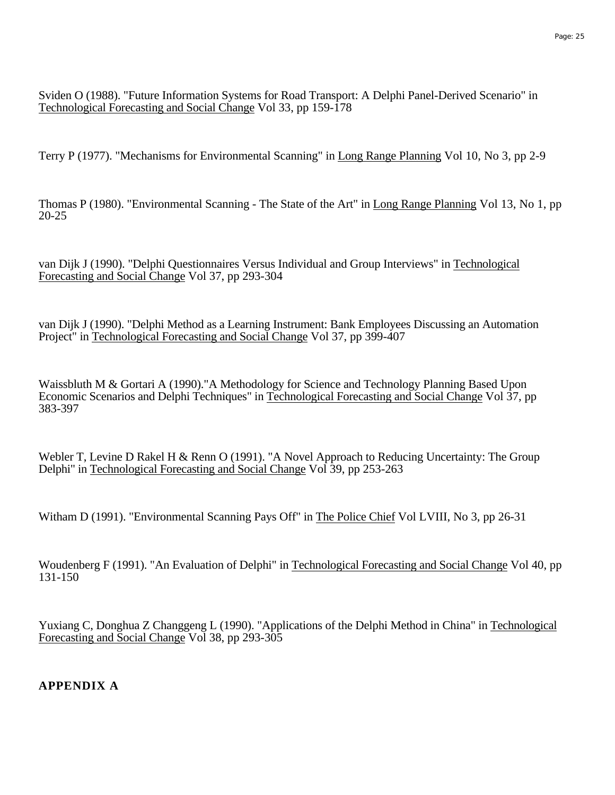Sviden O (1988). "Future Information Systems for Road Transport: A Delphi Panel-Derived Scenario" in Technological Forecasting and Social Change Vol 33, pp 159-178

Terry P (1977). "Mechanisms for Environmental Scanning" in Long Range Planning Vol 10, No 3, pp 2-9

Thomas P (1980). "Environmental Scanning - The State of the Art" in Long Range Planning Vol 13, No 1, pp 20-25

van Dijk J (1990). "Delphi Questionnaires Versus Individual and Group Interviews" in Technological Forecasting and Social Change Vol 37, pp 293-304

van Dijk J (1990). "Delphi Method as a Learning Instrument: Bank Employees Discussing an Automation Project" in Technological Forecasting and Social Change Vol 37, pp 399-407

Waissbluth M & Gortari A (1990)."A Methodology for Science and Technology Planning Based Upon Economic Scenarios and Delphi Techniques" in Technological Forecasting and Social Change Vol 37, pp 383-397

Webler T, Levine D Rakel H & Renn O (1991). "A Novel Approach to Reducing Uncertainty: The Group Delphi" in Technological Forecasting and Social Change Vol 39, pp 253-263

Witham D (1991). "Environmental Scanning Pays Off" in The Police Chief Vol LVIII, No 3, pp 26-31

Woudenberg F (1991). "An Evaluation of Delphi" in Technological Forecasting and Social Change Vol 40, pp 131-150

Yuxiang C, Donghua Z Changgeng L (1990). "Applications of the Delphi Method in China" in Technological Forecasting and Social Change Vol 38, pp 293-305

**APPENDIX A**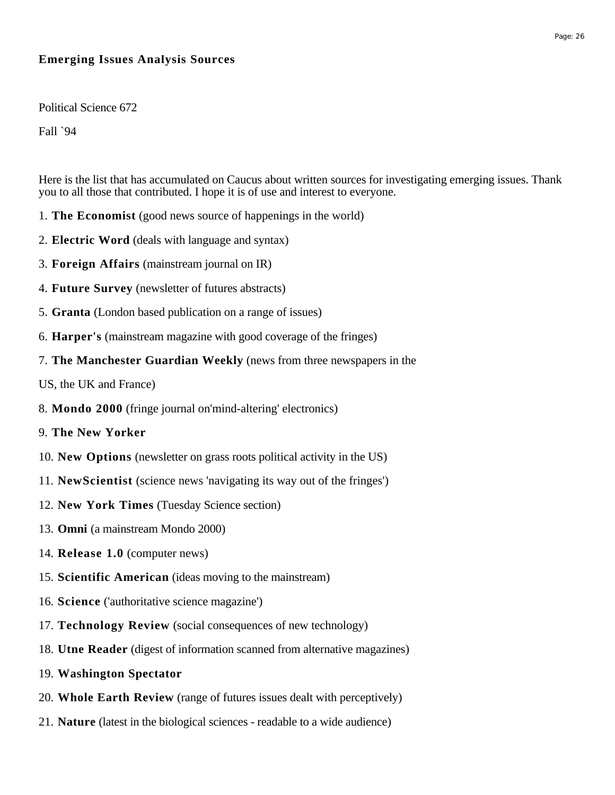## **Emerging Issues Analysis Sources**

Political Science 672

Fall `94

Here is the list that has accumulated on Caucus about written sources for investigating emerging issues. Thank you to all those that contributed. I hope it is of use and interest to everyone.

- 1. **The Economist** (good news source of happenings in the world)
- 2. **Electric Word** (deals with language and syntax)
- 3. **Foreign Affairs** (mainstream journal on IR)
- 4. **Future Survey** (newsletter of futures abstracts)
- 5. **Granta** (London based publication on a range of issues)
- 6. **Harper's** (mainstream magazine with good coverage of the fringes)
- 7. **The Manchester Guardian Weekly** (news from three newspapers in the
- US, the UK and France)
- 8. **Mondo 2000** (fringe journal on'mind-altering' electronics)
- 9. **The New Yorker**
- 10. **New Options** (newsletter on grass roots political activity in the US)
- 11. **NewScientist** (science news 'navigating its way out of the fringes')
- 12. **New York Times** (Tuesday Science section)
- 13. **Omni** (a mainstream Mondo 2000)
- 14. **Release 1.0** (computer news)
- 15. **Scientific American** (ideas moving to the mainstream)
- 16. **Science** ('authoritative science magazine')
- 17. **Technology Review** (social consequences of new technology)
- 18. **Utne Reader** (digest of information scanned from alternative magazines)
- 19. **Washington Spectator**
- 20. **Whole Earth Review** (range of futures issues dealt with perceptively)
- 21. **Nature** (latest in the biological sciences readable to a wide audience)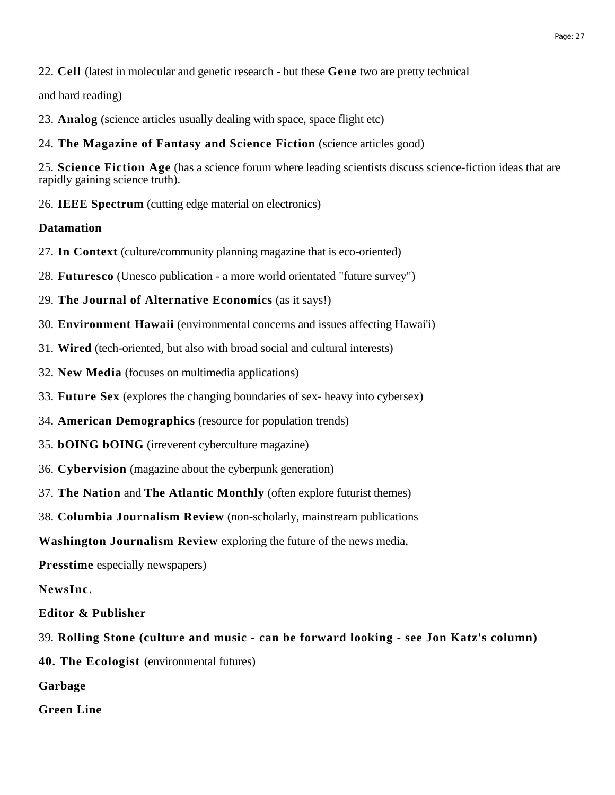22. **Cell** (latest in molecular and genetic research - but these **Gene** two are pretty technical

and hard reading)

- 23. **Analog** (science articles usually dealing with space, space flight etc)
- 24. **The Magazine of Fantasy and Science Fiction** (science articles good)

25. **Science Fiction Age** (has a science forum where leading scientists discuss science-fiction ideas that are rapidly gaining science truth).

26. **IEEE Spectrum** (cutting edge material on electronics)

### **Datamation**

- 27. **In Context** (culture/community planning magazine that is eco-oriented)
- 28. **Futuresco** (Unesco publication a more world orientated "future survey")
- 29. **The Journal of Alternative Economics** (as it says!)
- 30. **Environment Hawaii** (environmental concerns and issues affecting Hawai'i)
- 31. **Wired** (tech-oriented, but also with broad social and cultural interests)
- 32. **New Media** (focuses on multimedia applications)
- 33. **Future Sex** (explores the changing boundaries of sex- heavy into cybersex)
- 34. **American Demographics** (resource for population trends)
- 35. **bOING bOING** (irreverent cyberculture magazine)
- 36. **Cybervision** (magazine about the cyberpunk generation)
- 37. **The Nation** and **The Atlantic Monthly** (often explore futurist themes)
- 38. **Columbia Journalism Review** (non-scholarly, mainstream publications

**Washington Journalism Review** exploring the future of the news media,

**Presstime** especially newspapers)

**NewsInc**.

- **Editor & Publisher**
- 39. **Rolling Stone (culture and music can be forward looking see Jon Katz's column)**
- **40. The Ecologist** (environmental futures)
- **Garbage**
- **Green Line**